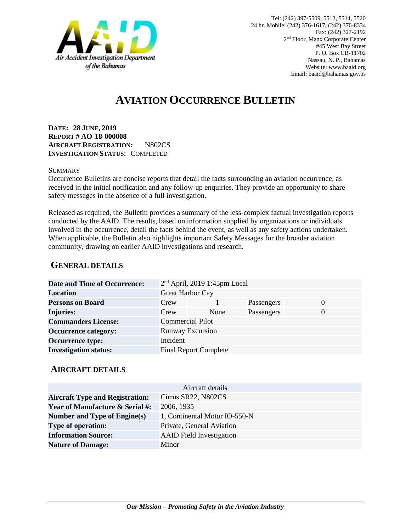

# **AVIATION OCCURRENCE BULLETIN**

**DATE: 28 JUNE, 2019 REPORT # AO-18-000008 AIRCRAFT REGISTRATION:** N802CS **INVESTIGATION STATUS**: COMPLETED

#### **SUMMARY**

Occurrence Bulletins are concise reports that detail the facts surrounding an aviation occurrence, as received in the initial notification and any follow-up enquiries. They provide an opportunity to share safety messages in the absence of a full investigation*.*

Released as required, the Bulletin provides a summary of the less-complex factual investigation reports conducted by the AAID. The results, based on information supplied by organizations or individuals involved in the occurrence, detail the facts behind the event, as well as any safety actions undertaken. When applicable, the Bulletin also highlights important Safety Messages for the broader aviation community, drawing on earlier AAID investigations and research.

### **GENERAL DETAILS**

| <b>Date and Time of Occurrence:</b> |                         | $2nd$ April, 2019 1:45pm Local |            |          |
|-------------------------------------|-------------------------|--------------------------------|------------|----------|
| <b>Location</b>                     | <b>Great Harbor Cay</b> |                                |            |          |
| <b>Persons on Board</b>             | Crew                    |                                | Passengers | $\theta$ |
| <b>Injuries:</b>                    | Crew                    | None                           | Passengers | $\Omega$ |
| <b>Commanders License:</b>          | <b>Commercial Pilot</b> |                                |            |          |
| <b>Occurrence category:</b>         | <b>Runway Excursion</b> |                                |            |          |
| <b>Occurrence type:</b>             | Incident                |                                |            |          |
| <b>Investigation status:</b>        |                         | <b>Final Report Complete</b>   |            |          |

#### **AIRCRAFT DETAILS**

| Aircraft details                           |                                 |  |  |  |
|--------------------------------------------|---------------------------------|--|--|--|
| <b>Aircraft Type and Registration:</b>     | Cirrus SR22, N802CS             |  |  |  |
| <b>Year of Manufacture &amp; Serial #:</b> | 2006, 1935                      |  |  |  |
| Number and Type of Engine(s)               | 1, Continental Motor IO-550-N   |  |  |  |
| <b>Type of operation:</b>                  | Private, General Aviation       |  |  |  |
| <b>Information Source:</b>                 | <b>AAID</b> Field Investigation |  |  |  |
| <b>Nature of Damage:</b>                   | Minor                           |  |  |  |